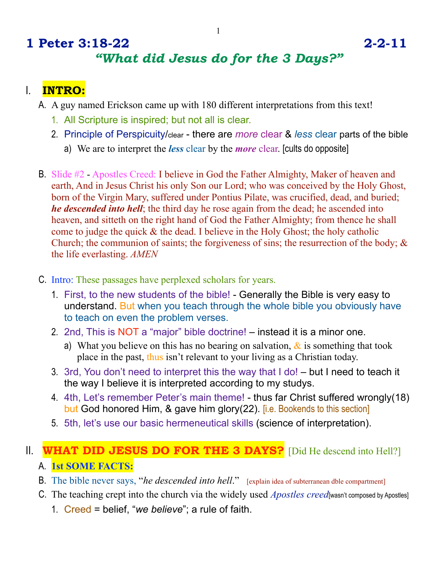# **1 Peter 3:18-22 2-2-11** *"What did Jesus do for the 3 Days?"*

## I. **INTRO:**

- A. A guy named Erickson came up with 180 different interpretations from this text!
	- 1. All Scripture is inspired; but not all is clear.
	- 2. Principle of Perspicuity/clear there are *more* clear & *less* clear parts of the bible
		- a) We are to interpret the *less* clear by the *more* clear. [cults do opposite]
- B. Slide #2 Apostles Creed: I believe in God the Father Almighty, Maker of heaven and earth, And in Jesus Christ his only Son our Lord; who was conceived by the Holy Ghost, born of the Virgin Mary, suffered under Pontius Pilate, was crucified, dead, and buried; *he descended into hell*; the third day he rose again from the dead; he ascended into heaven, and sitteth on the right hand of God the Father Almighty; from thence he shall come to judge the quick & the dead. I believe in the Holy Ghost; the holy catholic Church; the communion of saints; the forgiveness of sins; the resurrection of the body; & the life everlasting. *AMEN*
- C. Intro: These passages have perplexed scholars for years.
	- 1. First, to the new students of the bible! Generally the Bible is very easy to understand. But when you teach through the whole bible you obviously have to teach on even the problem verses.
	- 2. 2nd, This is NOT a "major" bible doctrine! instead it is a minor one.
		- a) What you believe on this has no bearing on salvation,  $\&$  is something that took place in the past, thus isn't relevant to your living as a Christian today.
	- 3. 3rd, You don't need to interpret this the way that I do! but I need to teach it the way I believe it is interpreted according to my studys.
	- 4. 4th, Let's remember Peter's main theme! thus far Christ suffered wrongly(18) but God honored Him, & gave him glory(22). [i.e. Bookends to this section]
	- 5. 5th, let's use our basic hermeneutical skills (science of interpretation).

# II. **WHAT DID JESUS DO FOR THE 3 DAYS?** [Did He descend into Hell?] A. **1st SOME FACTS:**

- B. The bible never says, "*he descended into hell*." [explain idea of subterranean dble compartment]
- C. The teaching crept into the church via the widely used *Apostles creed*[wasn't composed by Apostles]
	- 1. Creed = belief, "*we believe*"; a rule of faith.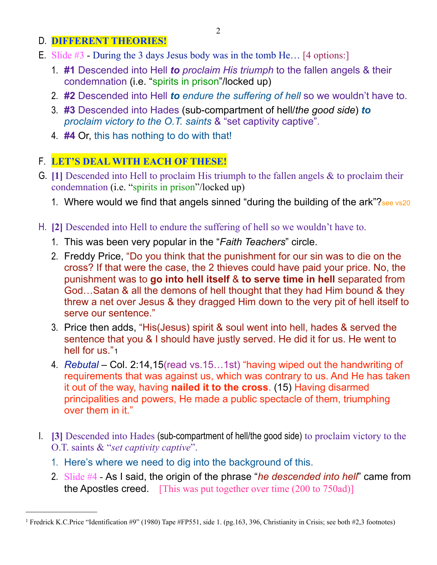#### D. **DIFFERENT THEORIES!**

- E. Slide  $\#$ 3 During the 3 days Jesus body was in the tomb He... [4 options:]
	- 1. **#1** Descended into Hell *to proclaim His triumph* to the fallen angels & their condemnation (i.e. "spirits in prison"/locked up)
	- 2. **#2** Descended into Hell *to endure the suffering of hell* so we wouldn't have to.
	- 3. **#3** Descended into Hades (sub-compartment of hell/*the good side*) *to proclaim victory to the O.T. saints* & "set captivity captive".
	- 4. **#4** Or, this has nothing to do with that!

### F. **LET'S DEAL WITH EACH OF THESE!**

- G. **[1]** Descended into Hell to proclaim His triumph to the fallen angels & to proclaim their condemnation (i.e. "spirits in prison"/locked up)
	- 1. Where would we find that angels sinned "during the building of the ark"? See vs20
- H. **[2]** Descended into Hell to endure the suffering of hell so we wouldn't have to.
	- 1. This was been very popular in the "*Faith Teachers*" circle.
	- 2. Freddy Price, "Do you think that the punishment for our sin was to die on the cross? If that were the case, the 2 thieves could have paid your price. No, the punishment was to **go into hell itself** & **to serve time in hell** separated from God…Satan & all the demons of hell thought that they had Him bound & they threw a net over Jesus & they dragged Him down to the very pit of hell itself to serve our sentence."
	- 3. Price then adds, "His(Jesus) spirit & soul went into hell, hades & served the sentence that you & I should have justly served. He did it for us. He went to hell for us."[1](#page-1-0)
	- 4. *Rebutal* Col. 2:14,15(read vs.15…1st) "having wiped out the handwriting of requirements that was against us, which was contrary to us. And He has taken it out of the way, having **nailed it to the cross**. (15) Having disarmed principalities and powers, He made a public spectacle of them, triumphing over them in it."
- I. **[3]** Descended into Hades (sub-compartment of hell/the good side) to proclaim victory to the O.T. saints & "*set captivity captive*".
	- 1. Here's where we need to dig into the background of this.
	- 2. Slide #4 As I said, the origin of the phrase "*he descended into hell*" came from the Apostles creed. [This was put together over time (200 to 750ad)]

<span id="page-1-0"></span><sup>&</sup>lt;sup>1</sup> Fredrick K.C.Price "Identification #9" (1980) Tape #FP551, side 1. (pg.163, 396, Christianity in Crisis; see both #2,3 footnotes)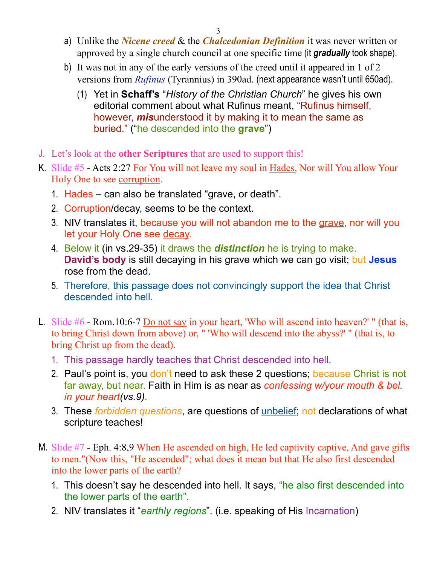- 3
- a) Unlike the *Nicene creed* & the *Chalcedonian Definition* it was never written or approved by a single church council at one specific time (it *gradually* took shape).
- b) It was not in any of the early versions of the creed until it appeared in 1 of 2 versions from *Rufinus* (Tyrannius) in 390ad. (next appearance wasn't until 650ad).
	- (1) Yet in **Schaff's** "*History of the Christian Church*" he gives his own editorial comment about what Rufinus meant, "Rufinus himself, however, *mis*understood it by making it to mean the same as buried." ("he descended into the **grave**")
- J. Let's look at the **other Scriptures** that are used to support this!
- K. Slide #5 Acts 2:27 For You will not leave my soul in Hades, Nor will You allow Your Holy One to see corruption.
	- 1. Hades can also be translated "grave, or death".
	- 2. Corruption/decay, seems to be the context.
	- 3. NIV translates it, because you will not abandon me to the grave, nor will you let your Holy One see decay.
	- 4. Below it (in vs.29-35) it draws the *distinction* he is trying to make. **David's body** is still decaying in his grave which we can go visit; but **Jesus** rose from the dead.
	- 5. Therefore, this passage does not convincingly support the idea that Christ descended into hell.
- L. Slide #6 Rom.10:6-7 Do not say in your heart, 'Who will ascend into heaven?' " (that is, to bring Christ down from above) or, " 'Who will descend into the abyss?' " (that is, to bring Christ up from the dead).
	- 1. This passage hardly teaches that Christ descended into hell.
	- 2. Paul's point is, you don't need to ask these 2 questions; because Christ is not far away, but near. Faith in Him is as near as *confessing w/your mouth & bel. in your heart(vs.9).*
	- 3. These *forbidden questions*, are questions of unbelief; not declarations of what scripture teaches!
- M. Slide #7 Eph. 4:8,9 When He ascended on high, He led captivity captive, And gave gifts to men."(Now this, "He ascended"; what does it mean but that He also first descended into the lower parts of the earth?
	- 1. This doesn't say he descended into hell. It says, "he also first descended into the lower parts of the earth".
	- 2. NIV translates it "*earthly regions*". (i.e. speaking of His Incarnation)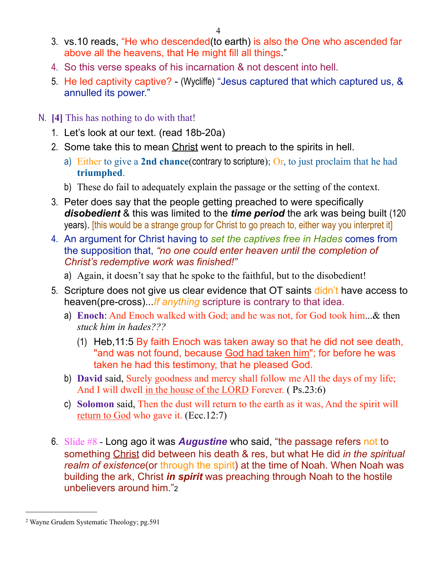- 3. vs.10 reads, "He who descended(to earth) is also the One who ascended far above all the heavens, that He might fill all things."
- 4. So this verse speaks of his incarnation & not descent into hell.
- 5. He led captivity captive? (Wycliffe) "Jesus captured that which captured us, & annulled its power."
- N. **[4]** This has nothing to do with that!
	- 1. Let's look at our text. (read 18b-20a)
	- 2. Some take this to mean Christ went to preach to the spirits in hell.
		- a) Either to give a **2nd chance**(contrary to scripture); Or, to just proclaim that he had **triumphed**.
		- b) These do fail to adequately explain the passage or the setting of the context.
	- 3. Peter does say that the people getting preached to were specifically *disobedient* & this was limited to the *time period* the ark was being built (120 years). [this would be a strange group for Christ to go preach to, either way you interpret it]
	- 4. An argument for Christ having to *set the captives free in Hades* comes from the supposition that, *"no one could enter heaven until the completion of Christ's redemptive work was finished!"*
		- a) Again, it doesn't say that he spoke to the faithful, but to the disobedient!
	- 5. Scripture does not give us clear evidence that OT saints didn't have access to heaven(pre-cross)...*If anything* scripture is contrary to that idea.
		- a) **Enoch**: And Enoch walked with God; and he was not, for God took him...& then *stuck him in hades???*
			- (1) Heb,11:5 By faith Enoch was taken away so that he did not see death, "and was not found, because God had taken him"; for before he was taken he had this testimony, that he pleased God.
		- b) **David** said, Surely goodness and mercy shall follow me All the days of my life; And I will dwell in the house of the LORD Forever. ( Ps.23:6)
		- c) **Solomon** said, Then the dust will return to the earth as it was, And the spirit will return to God who gave it. (Ecc.12:7)
	- 6. Slide #8 Long ago it was *Augustine* who said, "the passage refers not to something Christ did between his death & res, but what He did *in the spiritual realm of existence*(or through the spirit) at the time of Noah. When Noah was building the ark, Christ *in spirit* was preaching through Noah to the hostile unbelievers around him.["2](#page-3-0)

<span id="page-3-0"></span><sup>2</sup> Wayne Grudem Systematic Theology; pg.591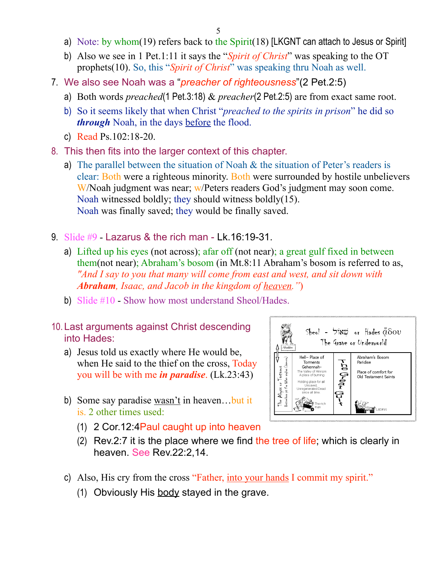- a) Note: by whom(19) refers back to the  $Spirit(18)$  [LKGNT can attach to Jesus or Spirit]
- b) Also we see in 1 Pet.1:11 it says the "*Spirit of Christ*" was speaking to the OT prophets(10). So, this "*Spirit of Christ*" was speaking thru Noah as well.
- 7. We also see Noah was a "*preacher of righteousness*"(2 Pet.2:5)
	- a) Both words *preached*(1 Pet.3:18) & *preacher*(2 Pet.2:5) are from exact same root.
	- b) So it seems likely that when Christ "*preached to the spirits in prison*" he did so *through* Noah, in the days before the flood.
	- c) Read Ps.102:18-20.
- 8. This then fits into the larger context of this chapter.
	- a) The parallel between the situation of Noah  $\&$  the situation of Peter's readers is clear: Both were a righteous minority. Both were surrounded by hostile unbelievers W/Noah judgment was near; w/Peters readers God's judgment may soon come. Noah witnessed boldly; they should witness boldly(15). Noah was finally saved; they would be finally saved.
- 9. Slide  $#9 1$  azarus & the rich man Lk.16:19-31.
	- a) Lifted up his eyes (not across); afar off (not near); a great gulf fixed in between them(not near); Abraham's bosom (in Mt.8:11 Abraham's bosom is referred to as, *"And I say to you that many will come from east and west, and sit down with Abraham, Isaac, and Jacob in the kingdom of heaven."*)
	- b) Slide #10 Show how most understand Sheol/Hades.
- 10. Last arguments against Christ descending into Hades:
	- a) Jesus told us exactly where He would be, when He said to the thief on the cross, Today you will be with me *in paradise*. (Lk.23:43)
	- b) Some say paradise wasn't in heaven...but it is. 2 other times used:
		- (1) 2 Cor.12:4Paul caught up into heaven
		- (2) Rev.2:7 it is the place where we find the tree of life; which is clearly in heaven. See Rev.22:2,14.
	- c) Also, His cry from the cross "Father, into your hands I commit my spirit."
		- (1) Obviously His body stayed in the grave.